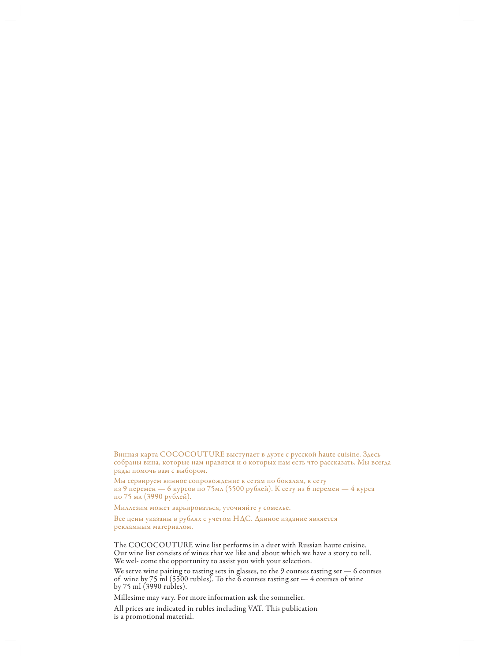Винная карта COCOCOUTURE выступает в дуэте с русской haute cuisine. Здесь собраны вина, которые нам нравятся и о которых нам есть что рассказать. Мы всегда рады помочь вам с выбором.

Мы сервируем винное сопровождение к сетам по бокалам, к сету из 9 перемен — 6 курсов по 75мл (5500 рублей). К сету из 6 перемен — 4 курса по 75 мл (3990 рублей).

Миллезим может варьироваться, уточняйте у сомелье.

Все цены указаны в рублях с учетом НДС. Данное издание является рекламным материалом.

The COCOCOUTURE wine list performs in a duet with Russian haute cuisine. Our wine list consists of wines that we like and about which we have a story to tell. We wel- come the opportunity to assist you with your selection.

We serve wine pairing to tasting sets in glasses, to the 9 courses tasting set — 6 courses of wine by 75 ml (5500 rubles). To the 6 courses tasting set  $-4$  courses of wine by 75 ml (3990 rubles).

Millesime may vary. For more information ask the sommelier.

All prices are indicated in rubles including VAT. This publication is a promotional material.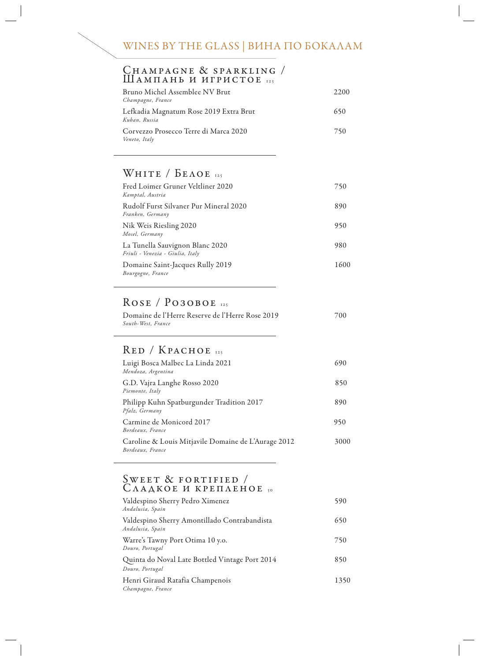# WINES BY THE GLASS | ВИНА ПО БОКАЛАМ

### CHAMPAGNE & SPARKLING / Шампань и игристое <sup>125</sup>

| Bruno Michel Assemblee NV Brut<br>Champagne, France     | 2.200 |
|---------------------------------------------------------|-------|
| Lefkadia Magnatum Rose 2019 Extra Brut<br>Kuban, Russia | 650   |
| Corvezzo Prosecco Terre di Marca 2020<br>Veneto, Italy  | 750   |

### WHITE /  $B$ EAOE 125

| Fred Loimer Gruner Veltliner 2020<br>Kamptal, Austria               | 750  |
|---------------------------------------------------------------------|------|
| Rudolf Furst Silvaner Pur Mineral 2020<br>Franken, Germany          | 890  |
| Nik Weis Riesling 2020<br>Mosel, Germany                            | 950  |
| La Tunella Sauvignon Blanc 2020<br>Friuli - Venezia - Giulia, Italy | 980  |
| Domaine Saint-Jacques Rully 2019<br>Bourgogne, France               | 1600 |

## ROSE / РОЗОВОЕ 125

| Domaine de l'Herre Reserve de l'Herre Rose 2019 | 700 |
|-------------------------------------------------|-----|
| South-West, France                              |     |

### Red / Красное <sup>125</sup>

| Luigi Bosca Malbec La Linda 2021<br>Mendoza, Argentina                  | 690  |
|-------------------------------------------------------------------------|------|
| G.D. Vajra Langhe Rosso 2020<br>Piemonte, Italy                         | 850  |
| Philipp Kuhn Spatburgunder Tradition 2017<br>Pfalz, Germany             | 890  |
| Carmine de Monicord 2017<br>Bordeaux, France                            | 950  |
| Caroline & Louis Mitjavile Domaine de L'Aurage 2012<br>Bordeaux, France | 3000 |

#### $\text{SWEET}$  & FORTIFIED / Сладкое и крепленое 50

| Valdespino Sherry Pedro Ximenez<br>Andalusia, Spain               | 590  |
|-------------------------------------------------------------------|------|
| Valdespino Sherry Amontillado Contrabandista<br>Andalusia, Spain  | 650  |
| Warre's Tawny Port Otima 10 y.o.<br>Douro, Portugal               | 750  |
| Quinta do Noval Late Bottled Vintage Port 2014<br>Douro, Portugal | 850  |
| Henri Giraud Ratafia Champenois<br>Champagne, France              | 1350 |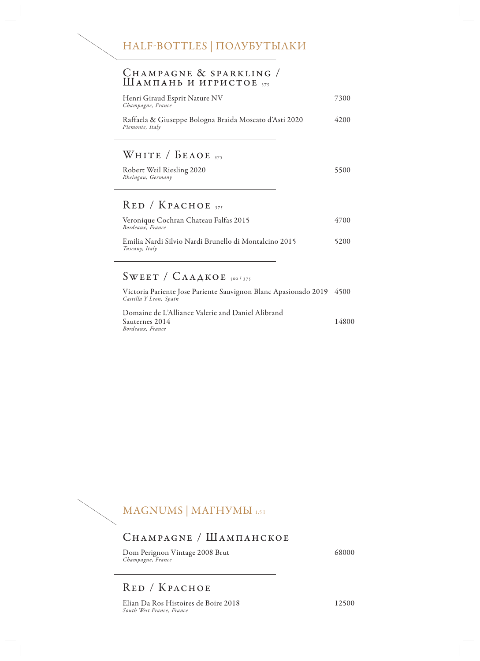#### Champagne & sparkling / Шампань и игристов 375

| Henri Giraud Esprit Nature NV<br>Champagne, France                        | 7300  |
|---------------------------------------------------------------------------|-------|
| Raffaela & Giuseppe Bologna Braida Moscato d'Asti 2020<br>Piemonte, Italy | 42.00 |
|                                                                           |       |
| WHITE / $b_{\text{EAOE}}$ <sub>375</sub>                                  |       |
| Robert Weil Riesling 2020<br>Rheingau, Germany                            | 5500  |
| $RED / KpACHOE$ <sub>375</sub>                                            |       |
| Veronique Cochran Chateau Falfas 2015<br>Bordeaux, France                 | 4700  |
| Emilia Nardi Silvio Nardi Brunello di Montalcino 2015<br>Tuscany, Italy   | 5200  |
|                                                                           |       |

### $SWEET / C\Lambda AAKOE$  500/375

Victoria Pariente Jose Pariente Sauvignon Blanc Apasionado 2019 4500 *Castilla Y Leon, Spain*  Domaine de L'Alliance Valerie and Daniel Alibrand Sauternes 2014 14800 *Bordeaux, France*



#### Champagne / Шампанское

Dom Perignon Vintage 2008 Brut 68000 *Champagne, France* 

### Red / Красное

Elian Da Ros Histoires de Boire 2018 12500 *South West France, France*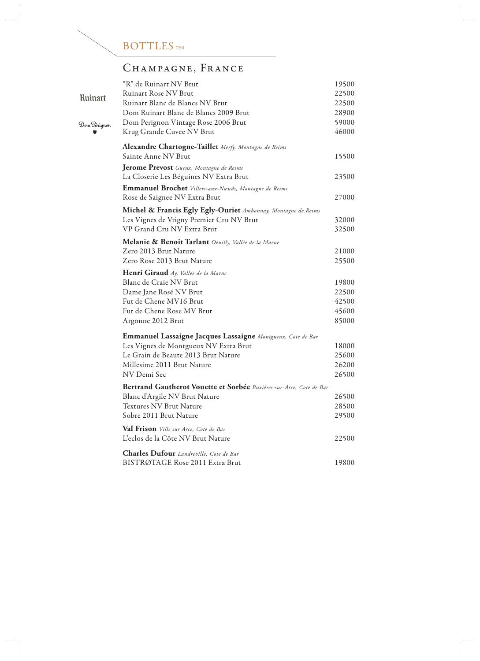

# CHAMPAGNE, FRANCE

|                | "R" de Ruinart NV Brut                                                      | 19500 |
|----------------|-----------------------------------------------------------------------------|-------|
|                | <b>Ruinart Rose NV Brut</b>                                                 | 22500 |
| <b>Ruinart</b> | Ruinart Blanc de Blancs NV Brut                                             | 22500 |
|                | Dom Ruinart Blanc de Blancs 2009 Brut                                       | 28900 |
| Dom Pérignon   | Dom Perignon Vintage Rose 2006 Brut                                         | 59000 |
|                | Krug Grande Cuvee NV Brut                                                   | 46000 |
|                | Alexandre Chartogne-Taillet Merfy, Montagne de Reims<br>Sainte Anne NV Brut | 15500 |
|                | Jerome Prevost Gueux, Montagne de Reims                                     |       |
|                | La Closerie Les Béguines NV Extra Brut                                      | 23500 |
|                | Emmanuel Brochet Villers-aux-Nœuds, Montagne de Reims                       |       |
|                | Rose de Saignee NV Extra Brut                                               | 27000 |
|                | Michel & Francis Egly Egly-Ouriet Ambonnay, Montagne de Reims               |       |
|                | Les Vignes de Vrigny Premier Cru NV Brut                                    | 32000 |
|                | VP Grand Cru NV Extra Brut                                                  | 32500 |
|                | Melanie & Benoit Tarlant Oeuilly, Vallée de la Marne                        |       |
|                | Zero 2013 Brut Nature                                                       | 21000 |
|                | Zero Rose 2013 Brut Nature                                                  | 25500 |
|                | Henri Giraud Ay, Vallée de la Marne                                         |       |
|                | Blanc de Craie NV Brut                                                      | 19800 |
|                | Dame Jane Rosé NV Brut                                                      | 22500 |
|                | Fut de Chene MV16 Brut                                                      | 42500 |
|                | Fut de Chene Rose MV Brut                                                   | 45600 |
|                | Argonne 2012 Brut                                                           | 85000 |
|                | Emmanuel Lassaigne Jacques Lassaigne Montgueux, Cote de Bar                 |       |
|                | Les Vignes de Montgueux NV Extra Brut                                       | 18000 |
|                | Le Grain de Beaute 2013 Brut Nature                                         | 25600 |
|                | Millesime 2011 Brut Nature                                                  | 26200 |
|                | NV Demi Sec                                                                 | 26500 |
|                | Bertrand Gautherot Vouette et Sorbée Buxières-sur-Arce, Cote de Bar         |       |
|                | Blanc d'Argile NV Brut Nature                                               | 26500 |
|                | <b>Textures NV Brut Nature</b>                                              | 28500 |
|                | Sobre 2011 Brut Nature                                                      | 29500 |
|                | <b>Val Frison</b> Ville sur Arce, Cote de Bar                               |       |
|                | L'eclos de la Côte NV Brut Nature                                           | 22500 |
|                | <b>Charles Dufour</b> Landreville, Cote de Bar                              |       |
|                | BISTRØTAGE Rose 2011 Extra Brut                                             | 19800 |

 $\begin{array}{c} \hline \end{array}$  $\overline{\phantom{a}}$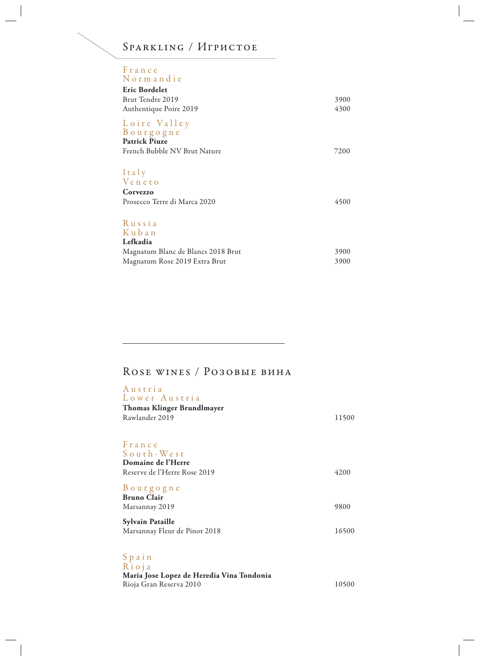| SPARKLING / ИГРИСТОЕ                              |      |
|---------------------------------------------------|------|
| France<br>Normandie                               |      |
| Eric Bordelet                                     |      |
| Brut Tendre 2019                                  | 3900 |
| Authentique Poire 2019                            | 4300 |
| Loire Valley<br>Bourgogne<br><b>Patrick Piuze</b> |      |
| French Bubble NV Brut Nature                      | 7200 |
| Italy<br>Veneto                                   |      |
| Corvezzo                                          |      |
| Prosecco Terre di Marca 2020                      | 4500 |
| Russia<br>Kuban                                   |      |
| Lefkadia                                          |      |
| Magnatum Blanc de Blancs 2018 Brut                | 3900 |
| Magnatum Rose 2019 Extra Brut                     | 3900 |

# Rose wines / Розовые вина

| Austria<br>Lower Austria<br><b>Thomas Klinger Brundlmayer</b><br>Rawlander 2019           | 11500 |
|-------------------------------------------------------------------------------------------|-------|
| France<br>South-West<br>Domaine de l'Herre<br>Reserve de l'Herre Rose 2019                | 4200  |
| Bourgogne<br><b>Bruno Clair</b><br>Marsannay 2019                                         | 9800  |
| <b>Sylvain Pataille</b><br>Marsannay Fleur de Pinot 2018                                  | 16500 |
| $S$ pain<br>Rioja<br>Maria Jose Lopez de Heredia Vina Tondonia<br>Rioja Gran Reserva 2010 | 10500 |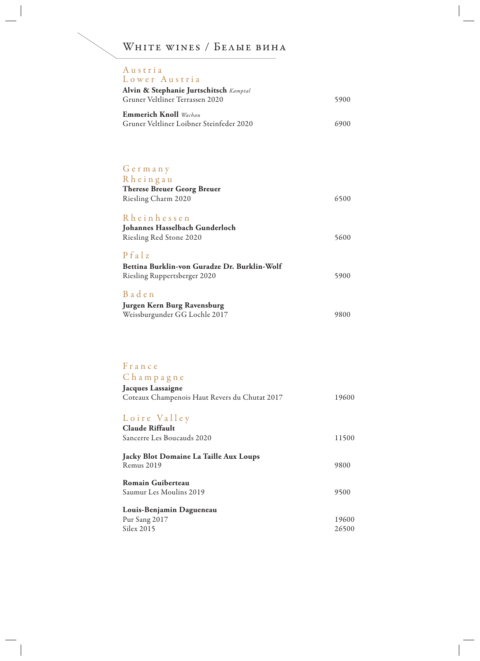WHITE WINES / БЕЛЫЕ ВИНА

| Austria<br>Lower Austria                                                            |      |
|-------------------------------------------------------------------------------------|------|
| Alvin & Stephanie Jurtschitsch Kamptal<br>Gruner Veltliner Terrassen 2020           | 5900 |
| <b>Emmerich Knoll</b> Wachau<br>Gruner Veltliner Loibner Steinfeder 2020            | 6900 |
|                                                                                     |      |
| Germany                                                                             |      |
| Rheingau<br><b>Therese Breuer Georg Breuer</b>                                      |      |
| Riesling Charm 2020                                                                 | 6500 |
| Rheinhessen<br>Johannes Hasselbach Gunderloch                                       |      |
| Riesling Red Stone 2020                                                             | 5600 |
| Pfalz                                                                               |      |
| Bettina Burklin-von Guradze Dr. Burklin-Wolf<br><b>Riesling Ruppertsberger 2020</b> | 5900 |
| Baden                                                                               |      |
| Jurgen Kern Burg Ravensburg                                                         |      |
| Weissburgunder GG Lochle 2017                                                       | 9800 |
|                                                                                     |      |
| France                                                                              |      |
| Champagne                                                                           |      |

| $C$ h a m p a g n e                           |       |
|-----------------------------------------------|-------|
| Jacques Lassaigne                             |       |
| Coteaux Champenois Haut Revers du Chutat 2017 | 19600 |
|                                               |       |
| Loire Valley                                  |       |
| Claude Riffault                               |       |
| Sancerre Les Boucauds 2020                    | 11500 |
| Jacky Blot Domaine La Taille Aux Loups        |       |
| Remus 2019                                    | 9800  |
| <b>Romain Guiberteau</b>                      |       |
| Saumur Les Moulins 2019                       | 9500  |
| Louis-Benjamin Dagueneau                      |       |
| Pur Sang 2017                                 | 19600 |
| Silex 2015                                    | 26500 |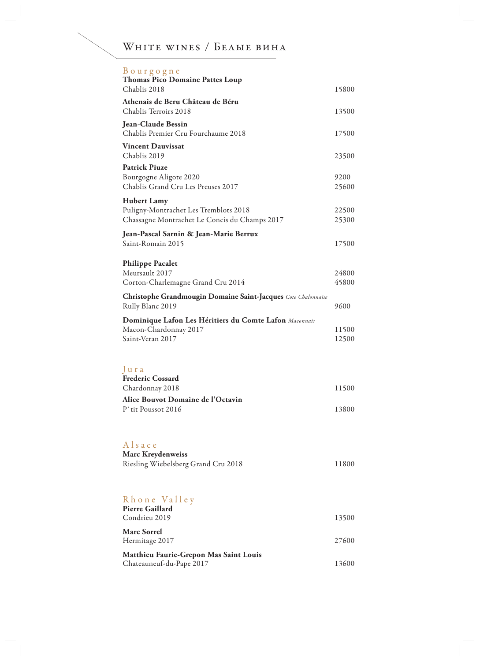# WHITE WINES / БЕЛЫЕ ВИНА

| Bourgogne<br><b>Thomas Pico Domaine Pattes Loup</b>                               |       |
|-----------------------------------------------------------------------------------|-------|
| Chablis 2018                                                                      | 15800 |
| Athenais de Beru Château de Béru                                                  |       |
| Chablis Terroirs 2018                                                             | 13500 |
| <b>Jean-Claude Bessin</b><br>Chablis Premier Cru Fourchaume 2018                  | 17500 |
| <b>Vincent Dauvissat</b><br>Chablis 2019                                          | 23500 |
| <b>Patrick Piuze</b>                                                              |       |
| Bourgogne Aligote 2020                                                            | 9200  |
| Chablis Grand Cru Les Preuses 2017                                                | 25600 |
| <b>Hubert Lamy</b>                                                                |       |
| Puligny-Montrachet Les Tremblots 2018                                             | 22500 |
| Chassagne Montrachet Le Concis du Champs 2017                                     | 25300 |
| Jean-Pascal Sarnin & Jean-Marie Berrux                                            |       |
| Saint-Romain 2015                                                                 | 17500 |
|                                                                                   |       |
| <b>Philippe Pacalet</b>                                                           |       |
| Meursault 2017                                                                    | 24800 |
| Corton-Charlemagne Grand Cru 2014                                                 | 45800 |
| Christophe Grandmougin Domaine Saint-Jacques Cote Chalonnaise<br>Rully Blanc 2019 | 9600  |
| Dominique Lafon Les Héritiers du Comte Lafon Maconnais                            |       |
| Macon-Chardonnay 2017                                                             | 11500 |
| Saint-Veran 2017                                                                  | 12500 |
|                                                                                   |       |
|                                                                                   |       |
| Jura                                                                              |       |
| <b>Frederic Cossard</b>                                                           |       |
| Chardonnay 2018                                                                   | 11500 |
| Alice Bouvot Domaine de l'Octavin                                                 |       |
| P'rir Poussor 2016                                                                | 13800 |
|                                                                                   |       |
|                                                                                   |       |
| Alsace                                                                            |       |
| <b>Marc Kreydenweiss</b>                                                          |       |
| Riesling Wiebelsberg Grand Cru 2018                                               | 11800 |
|                                                                                   |       |
|                                                                                   |       |
|                                                                                   |       |
| Rhone Valley                                                                      |       |
| <b>Pierre Gaillard</b><br>Condrieu 2019                                           | 13500 |
|                                                                                   |       |
| <b>Marc Sorrel</b>                                                                |       |
| Hermitage 2017                                                                    | 27600 |
| Matthieu Faurie-Grepon Mas Saint Louis                                            |       |
| Chateauneuf-du-Pape 2017                                                          | 13600 |
|                                                                                   |       |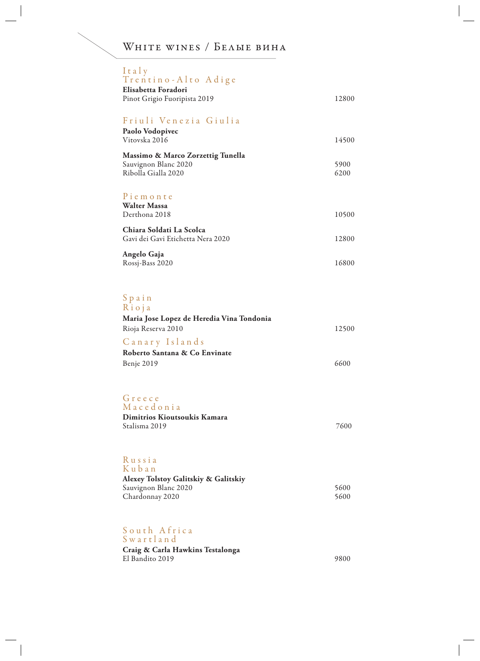# WHITE WINES / БЕЛЫЕ ВИНА

| Italy<br>Trentino-Alto Adige                                                      |              |
|-----------------------------------------------------------------------------------|--------------|
| Elisabetta Foradori<br>Pinot Grigio Fuoripista 2019                               | 12800        |
| Friuli Venezia Giulia<br>Paolo Vodopivec                                          |              |
| Vitovska 2016                                                                     | 14500        |
| Massimo & Marco Zorzettig Tunella<br>Sauvignon Blanc 2020<br>Ribolla Gialla 2020  | 5900<br>6200 |
| Piemonte<br><b>Walter Massa</b><br>Derthona 2018                                  | 10500        |
| Chiara Soldati La Scolca<br>Gavi dei Gavi Etichetta Nera 2020                     | 12800        |
| Angelo Gaja<br>Rossj-Bass 2020                                                    | 16800        |
| Spain<br>Rioja<br>Maria Jose Lopez de Heredia Vina Tondonia<br>Rioja Reserva 2010 | 12500        |
| Canary Islands<br>Roberto Santana & Co Envinate                                   |              |
| Benje 2019                                                                        | 6600         |
| Greece<br>Macedonia<br>Dimitrios Kioutsoukis Kamara<br>Stalisma 2019              | 7600         |
| Russia<br>Kuban<br>Alexey Tolstoy Galitskiy & Galitskiy                           |              |
| Sauvignon Blanc 2020<br>Chardonnay 2020                                           | 5600<br>5600 |
| South Africa                                                                      |              |

S w a r t l a n d **Craig & Carla Hawkins Testalonga**  El Bandito 2019 9800

 $\overline{\phantom{a}}$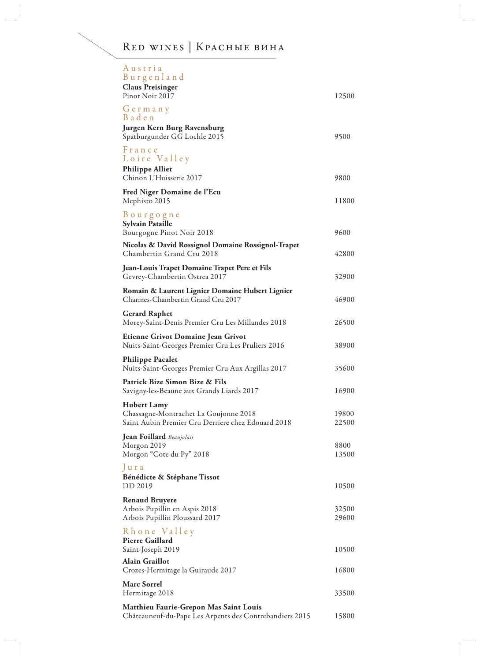# Red wines | Красные вина

| Austria<br>Burgenland<br><b>Claus Preisinger</b>                                                                  |                |
|-------------------------------------------------------------------------------------------------------------------|----------------|
| Pinot Noir 2017                                                                                                   | 12500          |
| Germany<br>Baden                                                                                                  |                |
| Jurgen Kern Burg Ravensburg<br>Spatburgunder GG Lochle 2015                                                       | 9500           |
| France<br>Loire Valley<br><b>Philippe Alliet</b>                                                                  |                |
| Chinon L'Huisserie 2017                                                                                           | 9800           |
| Fred Niger Domaine de l'Ecu<br>Mephisto 2015                                                                      | 11800          |
| Bourgogne<br><b>Sylvain Pataille</b>                                                                              |                |
| Bourgogne Pinot Noir 2018                                                                                         | 9600           |
| Nicolas & David Rossignol Domaine Rossignol-Trapet<br>Chambertin Grand Cru 2018                                   | 42800          |
| Jean-Louis Trapet Domaine Trapet Pere et Fils<br>Gevrey-Chambertin Ostrea 2017                                    | 32900          |
| Romain & Laurent Lignier Domaine Hubert Lignier<br>Charmes-Chambertin Grand Cru 2017                              | 46900          |
| <b>Gerard Raphet</b><br>Morey-Saint-Denis Premier Cru Les Millandes 2018                                          | 26500          |
| Etienne Grivot Domaine Jean Grivot<br>Nuits-Saint-Georges Premier Cru Les Pruliers 2016                           | 38900          |
| <b>Philippe Pacalet</b><br>Nuits-Saint-Georges Premier Cru Aux Argillas 2017                                      | 35600          |
| Patrick Bize Simon Bize & Fils<br>Savigny-les-Beaune aux Grands Liards 2017                                       | 16900          |
| <b>Hubert Lamy</b><br>Chassagne-Montrachet La Goujonne 2018<br>Saint Aubin Premier Cru Derriere chez Edouard 2018 | 19800<br>22500 |
| Jean Foillard Beaujolais<br>Morgon 2019                                                                           | 8800           |
| Morgon "Cote du Py" 2018                                                                                          | 13500          |
| Jura<br>Bénédicte & Stéphane Tissot                                                                               |                |
| DD 2019                                                                                                           | 10500          |
| <b>Renaud Bruyere</b><br>Arbois Pupillin en Aspis 2018                                                            | 32500          |
| Arbois Pupillin Ploussard 2017                                                                                    | 29600          |
| Rhone Valley<br><b>Pierre Gaillard</b><br>Saint-Joseph 2019                                                       | 10500          |
| <b>Alain Graillot</b>                                                                                             | 16800          |
| Crozes-Hermitage la Guiraude 2017<br><b>Marc Sorrel</b>                                                           |                |
| Hermitage 2018                                                                                                    | 33500          |
| <b>Matthieu Faurie-Grepon Mas Saint Louis</b><br>Châteauneuf-du-Pape Les Arpents des Contrebandiers 2015          | 15800          |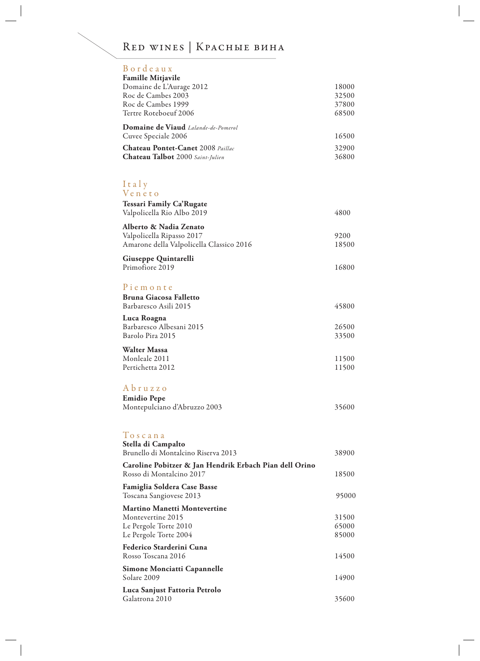# Red wines | Красные вина

| Bordeaux<br><b>Famille Mitjavile</b><br>Domaine de L'Aurage 2012<br>Roc de Cambes 2003<br>Roc de Cambes 1999 | 18000<br>32500<br>37800 |
|--------------------------------------------------------------------------------------------------------------|-------------------------|
| Tertre Roteboeuf 2006                                                                                        | 68500                   |
| Domaine de Viaud Lalande-de-Pomerol<br>Cuvee Speciale 2006                                                   | 16500                   |
| Chateau Pontet-Canet 2008 Paillac                                                                            | 32900                   |
| Chateau Talbot 2000 Saint-Julien                                                                             | 36800                   |
|                                                                                                              |                         |
| Italy<br>Veneto                                                                                              |                         |
| Tessari Family Ca'Rugate<br>Valpolicella Rio Albo 2019                                                       | 4800                    |
| Alberto & Nadia Zenato                                                                                       |                         |
| Valpolicella Ripasso 2017<br>Amarone della Valpolicella Classico 2016                                        | 9200<br>18500           |
| Giuseppe Quintarelli                                                                                         |                         |
| Primofiore 2019                                                                                              | 16800                   |
| Piemonte                                                                                                     |                         |
| <b>Bruna Giacosa Falletto</b><br>Barbaresco Asili 2015                                                       | 45800                   |
| Luca Roagna<br>Barbaresco Albesani 2015                                                                      |                         |
| Barolo Pira 2015                                                                                             | 26500<br>33500          |
| <b>Walter Massa</b>                                                                                          |                         |
| Monleale 2011<br>Pertichetta 2012                                                                            | 11500<br>11500          |
|                                                                                                              |                         |
| Abruzzo                                                                                                      |                         |
| <b>Emidio Pepe</b><br>Montepulciano d'Abruzzo 2003                                                           | 35600                   |
|                                                                                                              |                         |
| Toscana                                                                                                      |                         |
| Stella di Campalto<br>Brunello di Montalcino Riserva 2013                                                    | 38900                   |
| Caroline Pobitzer & Jan Hendrik Erbach Pian dell Orino                                                       |                         |
| Rosso di Montalcino 2017                                                                                     | 18500                   |
| <b>Famiglia Soldera Case Basse</b><br>Toscana Sangiovese 2013                                                | 95000                   |
| <b>Martino Manetti Montevertine</b><br>Montevertine 2015                                                     | 31500                   |
| Le Pergole Torte 2010                                                                                        | 65000                   |
| Le Pergole Torte 2004                                                                                        | 85000                   |
| Federico Starderini Cuna<br>Rosso Toscana 2016                                                               | 14500                   |
| Simone Monciatti Capannelle                                                                                  |                         |
| Solare 2009                                                                                                  | 14900                   |
| Luca Sanjust Fattoria Petrolo<br>Galatrona 2010                                                              | 35600                   |